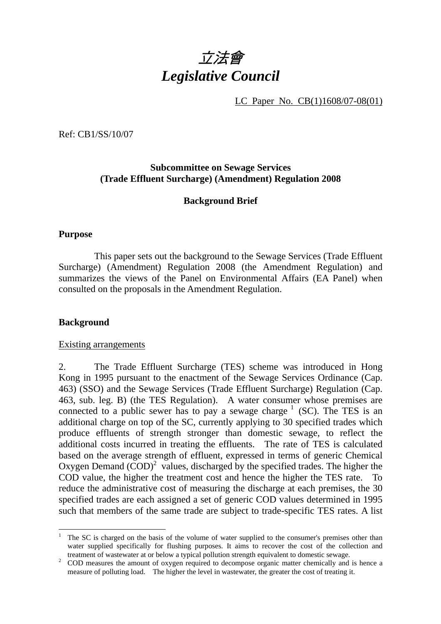

LC Paper No. CB(1)1608/07-08(01)

Ref: CB1/SS/10/07

# **Subcommittee on Sewage Services (Trade Effluent Surcharge) (Amendment) Regulation 2008**

# **Background Brief**

#### **Purpose**

1 This paper sets out the background to the Sewage Services (Trade Effluent Surcharge) (Amendment) Regulation 2008 (the Amendment Regulation) and summarizes the views of the Panel on Environmental Affairs (EA Panel) when consulted on the proposals in the Amendment Regulation.

#### **Background**

#### Existing arrangements

2. The Trade Effluent Surcharge (TES) scheme was introduced in Hong Kong in 1995 pursuant to the enactment of the Sewage Services Ordinance (Cap. 463) (SSO) and the Sewage Services (Trade Effluent Surcharge) Regulation (Cap. 463, sub. leg. B) (the TES Regulation). A water consumer whose premises are connected to a public sewer has to pay a sewage charge  $<sup>1</sup>$  (SC). The TES is an</sup> additional charge on top of the SC, currently applying to 30 specified trades which produce effluents of strength stronger than domestic sewage, to reflect the additional costs incurred in treating the effluents. The rate of TES is calculated based on the average strength of effluent, expressed in terms of generic Chemical Oxygen Demand  $(COD)^2$  values, discharged by the specified trades. The higher the COD value, the higher the treatment cost and hence the higher the TES rate. To reduce the administrative cost of measuring the discharge at each premises, the 30 specified trades are each assigned a set of generic COD values determined in 1995 such that members of the same trade are subject to trade-specific TES rates. A list

<sup>&</sup>lt;sup>1</sup> The SC is charged on the basis of the volume of water supplied to the consumer's premises other than water supplied specifically for flushing purposes. It aims to recover the cost of the collection and treatment of wastewater at or below a typical pollution strength equivalent to domestic sewage.<br><sup>2</sup> COD measures the emount of exusen required to decompose examic meter ehemically and

COD measures the amount of oxygen required to decompose organic matter chemically and is hence a measure of polluting load. The higher the level in wastewater, the greater the cost of treating it.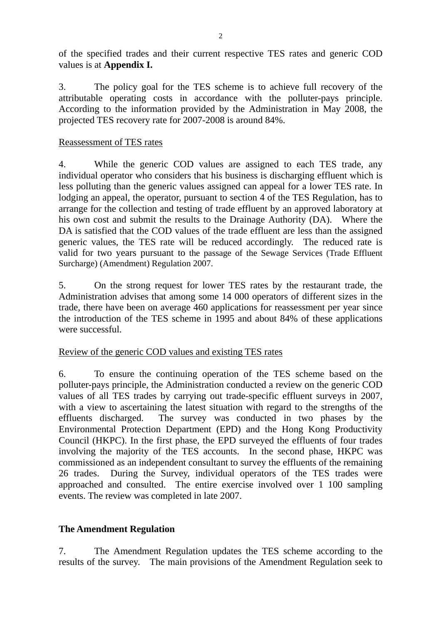of the specified trades and their current respective TES rates and generic COD values is at **Appendix I.**

3. The policy goal for the TES scheme is to achieve full recovery of the attributable operating costs in accordance with the polluter-pays principle. According to the information provided by the Administration in May 2008, the projected TES recovery rate for 2007-2008 is around 84%.

## Reassessment of TES rates

4. While the generic COD values are assigned to each TES trade, any individual operator who considers that his business is discharging effluent which is less polluting than the generic values assigned can appeal for a lower TES rate. In lodging an appeal, the operator, pursuant to section 4 of the TES Regulation, has to arrange for the collection and testing of trade effluent by an approved laboratory at his own cost and submit the results to the Drainage Authority (DA). Where the DA is satisfied that the COD values of the trade effluent are less than the assigned generic values, the TES rate will be reduced accordingly. The reduced rate is valid for two years pursuant to the passage of the Sewage Services (Trade Effluent Surcharge) (Amendment) Regulation 2007.

5. On the strong request for lower TES rates by the restaurant trade, the Administration advises that among some 14 000 operators of different sizes in the trade, there have been on average 460 applications for reassessment per year since the introduction of the TES scheme in 1995 and about 84% of these applications were successful.

# Review of the generic COD values and existing TES rates

6. To ensure the continuing operation of the TES scheme based on the polluter-pays principle, the Administration conducted a review on the generic COD values of all TES trades by carrying out trade-specific effluent surveys in 2007, with a view to ascertaining the latest situation with regard to the strengths of the effluents discharged. The survey was conducted in two phases by the Environmental Protection Department (EPD) and the Hong Kong Productivity Council (HKPC). In the first phase, the EPD surveyed the effluents of four trades involving the majority of the TES accounts. In the second phase, HKPC was commissioned as an independent consultant to survey the effluents of the remaining 26 trades. During the Survey, individual operators of the TES trades were approached and consulted. The entire exercise involved over 1 100 sampling events. The review was completed in late 2007.

# **The Amendment Regulation**

7. The Amendment Regulation updates the TES scheme according to the results of the survey. The main provisions of the Amendment Regulation seek to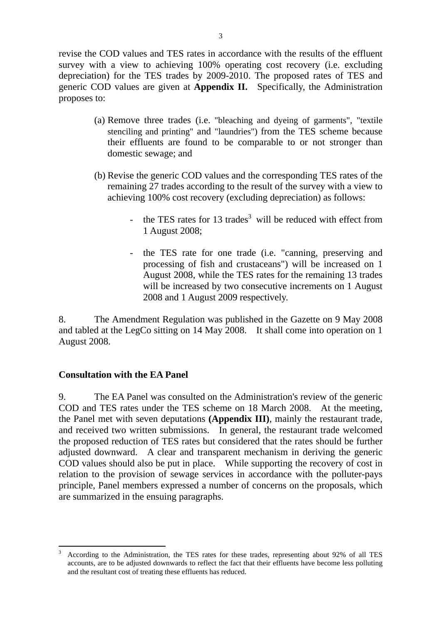revise the COD values and TES rates in accordance with the results of the effluent survey with a view to achieving 100% operating cost recovery (i.e. excluding depreciation) for the TES trades by 2009-2010. The proposed rates of TES and generic COD values are given at **Appendix II.** Specifically, the Administration proposes to:

- (a) Remove three trades (i.e. "bleaching and dyeing of garments", "textile stenciling and printing" and "laundries") from the TES scheme because their effluents are found to be comparable to or not stronger than domestic sewage; and
- (b) Revise the generic COD values and the corresponding TES rates of the remaining 27 trades according to the result of the survey with a view to achieving 100% cost recovery (excluding depreciation) as follows:
	- the TES rates for 13 trades<sup>3</sup> will be reduced with effect from 1 August 2008;
	- the TES rate for one trade (i.e. "canning, preserving and processing of fish and crustaceans") will be increased on 1 August 2008, while the TES rates for the remaining 13 trades will be increased by two consecutive increments on 1 August 2008 and 1 August 2009 respectively.

8. The Amendment Regulation was published in the Gazette on 9 May 2008 and tabled at the LegCo sitting on 14 May 2008. It shall come into operation on 1 August 2008.

# **Consultation with the EA Panel**

 $\overline{a}$ 

9. The EA Panel was consulted on the Administration's review of the generic COD and TES rates under the TES scheme on 18 March 2008. At the meeting, the Panel met with seven deputations **(Appendix III)**, mainly the restaurant trade, and received two written submissions. In general, the restaurant trade welcomed the proposed reduction of TES rates but considered that the rates should be further adjusted downward. A clear and transparent mechanism in deriving the generic COD values should also be put in place. While supporting the recovery of cost in relation to the provision of sewage services in accordance with the polluter-pays principle, Panel members expressed a number of concerns on the proposals, which are summarized in the ensuing paragraphs.

<sup>3</sup> According to the Administration, the TES rates for these trades, representing about 92% of all TES accounts, are to be adjusted downwards to reflect the fact that their effluents have become less polluting and the resultant cost of treating these effluents has reduced.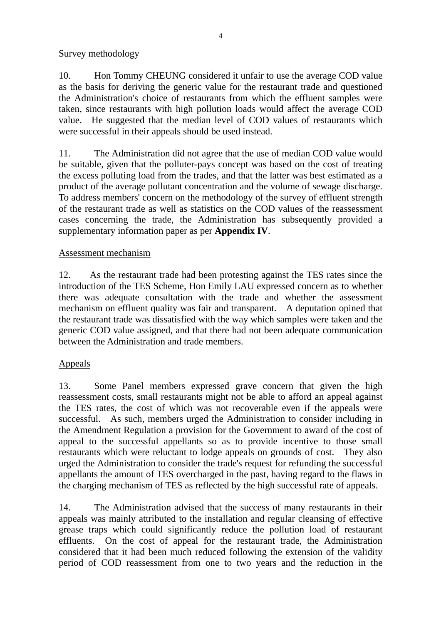## Survey methodology

10. Hon Tommy CHEUNG considered it unfair to use the average COD value as the basis for deriving the generic value for the restaurant trade and questioned the Administration's choice of restaurants from which the effluent samples were taken, since restaurants with high pollution loads would affect the average COD value. He suggested that the median level of COD values of restaurants which were successful in their appeals should be used instead.

11. The Administration did not agree that the use of median COD value would be suitable, given that the polluter-pays concept was based on the cost of treating the excess polluting load from the trades, and that the latter was best estimated as a product of the average pollutant concentration and the volume of sewage discharge. To address members' concern on the methodology of the survey of effluent strength of the restaurant trade as well as statistics on the COD values of the reassessment cases concerning the trade, the Administration has subsequently provided a supplementary information paper as per **Appendix IV**.

# Assessment mechanism

12. As the restaurant trade had been protesting against the TES rates since the introduction of the TES Scheme, Hon Emily LAU expressed concern as to whether there was adequate consultation with the trade and whether the assessment mechanism on effluent quality was fair and transparent. A deputation opined that the restaurant trade was dissatisfied with the way which samples were taken and the generic COD value assigned, and that there had not been adequate communication between the Administration and trade members.

# Appeals

13. Some Panel members expressed grave concern that given the high reassessment costs, small restaurants might not be able to afford an appeal against the TES rates, the cost of which was not recoverable even if the appeals were successful. As such, members urged the Administration to consider including in the Amendment Regulation a provision for the Government to award of the cost of appeal to the successful appellants so as to provide incentive to those small restaurants which were reluctant to lodge appeals on grounds of cost. They also urged the Administration to consider the trade's request for refunding the successful appellants the amount of TES overcharged in the past, having regard to the flaws in the charging mechanism of TES as reflected by the high successful rate of appeals.

14. The Administration advised that the success of many restaurants in their appeals was mainly attributed to the installation and regular cleansing of effective grease traps which could significantly reduce the pollution load of restaurant effluents. On the cost of appeal for the restaurant trade, the Administration considered that it had been much reduced following the extension of the validity period of COD reassessment from one to two years and the reduction in the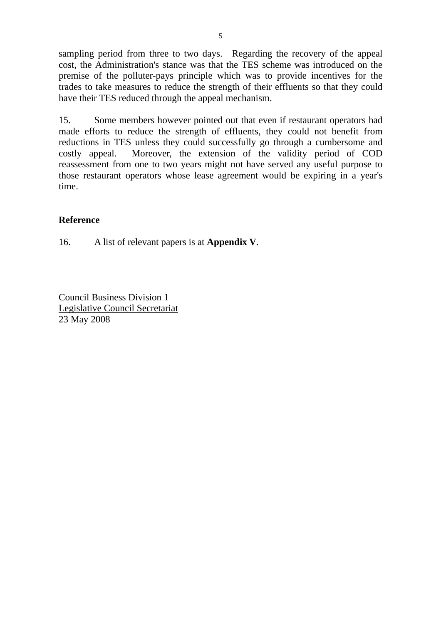sampling period from three to two days. Regarding the recovery of the appeal cost, the Administration's stance was that the TES scheme was introduced on the premise of the polluter-pays principle which was to provide incentives for the trades to take measures to reduce the strength of their effluents so that they could have their TES reduced through the appeal mechanism.

15. Some members however pointed out that even if restaurant operators had made efforts to reduce the strength of effluents, they could not benefit from reductions in TES unless they could successfully go through a cumbersome and costly appeal. Moreover, the extension of the validity period of COD reassessment from one to two years might not have served any useful purpose to those restaurant operators whose lease agreement would be expiring in a year's time.

# **Reference**

16. A list of relevant papers is at **Appendix V**.

Council Business Division 1 Legislative Council Secretariat 23 May 2008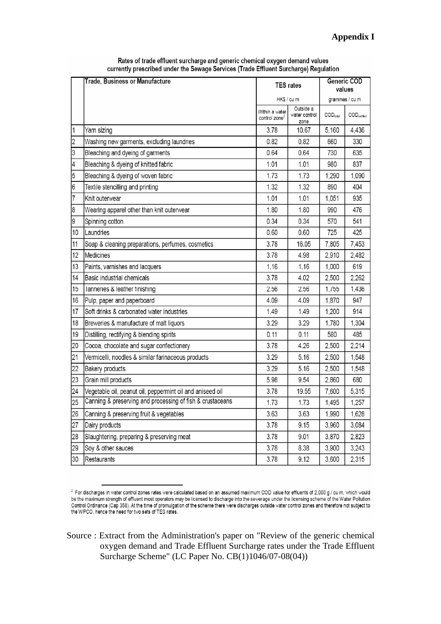|                | <b>Trade, Business or Manufacture</b><br><b>TES</b> rates |                                             | Generic COD<br>values              |                               |                                   |
|----------------|-----------------------------------------------------------|---------------------------------------------|------------------------------------|-------------------------------|-----------------------------------|
|                |                                                           | HK\$ / cu m                                 |                                    | grammes / cu m                |                                   |
|                |                                                           | Within a water<br>control zone <sup>2</sup> | Outside a<br>water control<br>zone | $\mathsf{COD}_\mathsf{total}$ | $\mathsf{COD}_{\mathsf{settled}}$ |
| $\mathbf{1}$   | Yarn sizing                                               | 3.78                                        | 10.67                              | 5,160                         | 4,436                             |
| $\overline{c}$ | Washing new garments, excluding laundries                 | 0.82                                        | 0.82                               | 660                           | 330                               |
| 3              | Bleaching and dyeing of garments                          | 0.64                                        | 0.64                               | 730                           | 635                               |
| 4              | Bleaching & dyeing of knitted fabric                      | 1.01                                        | 1.01                               | 980                           | 837                               |
| 5              | Bleaching & dyeing of woven fabric                        | 1.73                                        | 1.73                               | 1,290                         | 1,090                             |
| 6              | Textile stencilling and printing                          | 1.32                                        | 1.32                               | 890                           | 404                               |
| 7              | Knit outerwear                                            | 1.01                                        | 1.01                               | 1,051                         | 935                               |
| 8              | Wearing apparel other than knit outerwear                 | 1.80                                        | 1.80                               | 990                           | 476                               |
| 9              | Spinning cotton                                           | 0.34                                        | 0.34                               | 570                           | 541                               |
| 10             | Laundries                                                 | 0.60                                        | 0.60                               | 725                           | 425                               |
| 11             | Soap & cleaning preparations, perfumes, cosmetics         | 3.78                                        | 16.05                              | 7,805                         | 7,453                             |
| 12             | Medicines                                                 | 3.78                                        | 4.98                               | 2,910                         | 2,482                             |
| 13             | Paints, varnishes and lacquers                            | 1.16                                        | 1.16                               | 1,000                         | 619                               |
| 14             | Basic industrial chemicals                                | 3.78                                        | 4.02                               | 2,500                         | 2,262                             |
| 15             | Tanneries & leather finishing                             | 2.56                                        | 2.56                               | 1,755                         | 1,436                             |
| 16             | Pulp, paper and paperboard                                | 4.09                                        | 4.09                               | 1,870                         | 947                               |
| 17             | Soft drinks & carbonated water industries                 | 1.49                                        | 1.49                               | 1,200                         | 914                               |
| 18             | Breweries & manufacture of malt liquors                   | 3.29                                        | 3.29                               | 1,780                         | 1,304                             |
| 19             | Distilling, rectifying & blending spirits                 | 0.11                                        | 0.11                               | 580                           | 485                               |
| 20             | Cocoa, chocolate and sugar confectionery                  | 3.78                                        | 4.26                               | 2,500                         | 2,214                             |
| 21             | Vermicelli, noodles & similar farinaceous products        | 3.29                                        | 5.16                               | 2,500                         | 1,548                             |
| 22             | Bakery products                                           | 3.29                                        | 5.16                               | 2,500                         | 1,548                             |
| 23             | Grain mill products                                       | 5.98                                        | 9.54                               | 2,860                         | 680                               |
| 24             | Vegetable oil, peanut oil, peppermint oil and aniseed oil | 3.78                                        | 19.55                              | 7,600                         | 5,315                             |
| 25             | Canning & preserving and processing of fish & crustaceans | 1.73                                        | 1.73                               | 1,495                         | 1,257                             |
| 26             | Canning & preserving fruit & vegetables                   | 3.63                                        | 3.63                               | 1,990                         | 1,628                             |
| 27             | Dairy products                                            | 3.78                                        | 9.15                               | 3,960                         | 3,084                             |
| 28             | Slaughtering, preparing & preserving meat                 | 3.78                                        | 9.01                               | 3,870                         | 2,823                             |
| 29             | Soy & other sauces                                        | 3.78                                        | 8.38                               | 3,900                         | 3,243                             |
| 30             | Restaurants                                               | 3.78                                        | 9.12                               | 3,600                         | 2,315                             |

Rates of trade effluent surcharge and generic chemical oxygen demand values currently prescribed under the Sewage Services (Trade Effluent Surcharge) Regulation

 $2$  For discharges in water control zones rates were calculated based on an assumed maximum COD value for effluents of 2,000 g / cu m, which would be the maximum strength of effluent most operators may be licensed to discharge into the sewerage under the licensing scheme of the Water Pollution Control Ordinance (Cap 358). At the time of promulgation of the scheme there were discharges outside water control zones and therefore not subject to the WPCO, hence the need for two sets of TES rates.

Source : Extract from the Administration's paper on "Review of the generic chemical oxygen demand and Trade Effluent Surcharge rates under the Trade Effluent Surcharge Scheme" (LC Paper No. CB(1)1046/07-08(04))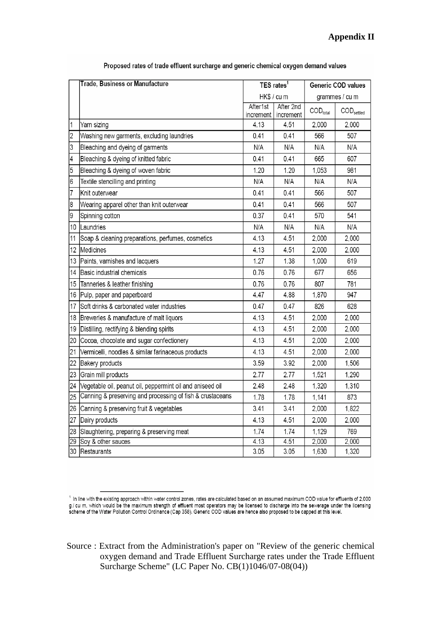|                          | Trade, Business or Manufacture                            | TES rates <sup>1</sup> |                        | Generic COD values          |                               |  |  |
|--------------------------|-----------------------------------------------------------|------------------------|------------------------|-----------------------------|-------------------------------|--|--|
|                          |                                                           |                        | HK\$ / cu m            |                             | grammes / cu m                |  |  |
|                          |                                                           | After1st<br>increment  | After 2nd<br>increment | $\text{COD}_{\text{total}}$ | $\text{COD}_{\text{settled}}$ |  |  |
| $\mathbf{1}$             | Yarn sizing                                               | 4.13                   | 4.51                   | 2,000                       | 2,000                         |  |  |
| $\overline{2}$           | Washing new garments, excluding laundries                 | 0.41                   | 0.41                   | 566                         | 507                           |  |  |
| 3                        | Bleaching and dyeing of garments                          | N/A                    | N/A                    | N/A                         | N/A                           |  |  |
| $\overline{\mathcal{A}}$ | Bleaching & dyeing of knitted fabric                      | 0.41                   | 0.41                   | 665                         | 607                           |  |  |
| $\overline{5}$           | Bleaching & dyeing of woven fabric                        | 1.20                   | 1.20                   | 1,053                       | 981                           |  |  |
| $6\phantom{a}$           | Textile stencilling and printing                          | N/A                    | N/A                    | N/A                         | N/A                           |  |  |
| 7                        | Knit outerwear                                            | 0.41                   | 0.41                   | 566                         | 507                           |  |  |
| 8                        | Wearing apparel other than knit outerwear                 | 0.41                   | 0.41                   | 566                         | 507                           |  |  |
| 9                        | Spinning cotton                                           | 0.37                   | 0.41                   | 570                         | 541                           |  |  |
| 10                       | Laundries                                                 | N/A                    | N/A                    | N/A                         | N/A                           |  |  |
| 11                       | Soap & cleaning preparations, perfumes, cosmetics         | 4.13                   | 4.51                   | 2,000                       | 2,000                         |  |  |
| 12                       | Medicines                                                 | 4.13                   | 4.51                   | 2,000                       | 2,000                         |  |  |
| 13                       | Paints, varnishes and lacquers                            | 1.27                   | 1.38                   | 1,000                       | 619                           |  |  |
| 14                       | Basic industrial chemicals                                | 0.76                   | 0.76                   | 677                         | 656                           |  |  |
| 15                       | Tanneries & leather finishing                             | 0.76                   | 0.76                   | 807                         | 781                           |  |  |
| 16                       | Pulp, paper and paperboard                                | 4.47                   | 4.88                   | 1,870                       | 947                           |  |  |
| 17                       | Soft drinks & carbonated water industries                 | 0.47                   | 0.47                   | 826                         | 628                           |  |  |
| 18                       | Breweries & manufacture of malt liquors                   | 4.13                   | 4.51                   | 2,000                       | 2,000                         |  |  |
| 19                       | Distilling, rectifying & blending spirits                 | 4.13                   | 4.51                   | 2,000                       | 2,000                         |  |  |
| 20                       | Cocoa, chocolate and sugar confectionery                  | 4.13                   | 4.51                   | 2,000                       | 2,000                         |  |  |
| 21                       | Vermicelli, noodles & similar farinaceous products        | 4.13                   | 4.51                   | 2,000                       | 2,000                         |  |  |
| 22                       | <b>Bakery products</b>                                    | 3.59                   | 3.92                   | 2,000                       | 1,506                         |  |  |
| 23                       | Grain mill products                                       | 2.77                   | 2.77                   | 1,521                       | 1,290                         |  |  |
| 24                       | Vegetable oil, peanut oil, peppermint oil and aniseed oil | 2.48                   | 2.48                   | 1,320                       | 1,310                         |  |  |
| 25                       | Canning & preserving and processing of fish & crustaceans | 1.78                   | 1.78                   | 1,141                       | 873                           |  |  |
| 26                       | Canning & preserving fruit & vegetables                   | 3.41                   | 3.41                   | 2,000                       | 1,822                         |  |  |
| 27                       | Dairy products                                            | 4.13                   | 4.51                   | 2,000                       | 2,000                         |  |  |
| 28                       | Slaughtering, preparing & preserving meat                 | 1.74                   | 1.74                   | 1,129                       | 769                           |  |  |
| 29                       | Soy & other sauces                                        | 4.13                   | 4.51                   | 2,000                       | 2,000                         |  |  |
| 30                       | Restaurants                                               | 3.05                   | 3.05                   | 1,630                       | 1,320                         |  |  |

Proposed rates of trade effluent surcharge and generic chemical oxygen demand values

<sup>&</sup>lt;sup>1</sup> In line with the existing approach within water control zones, rates are calculated based on an assumed maximum COD value for effluents of 2,000 g / cu m, which would be the maximum strength of effluent most operators may be licensed to discharge into the sewerage under the licensing<br>scheme of the Water Pollution Control Ordinance (Cap 358). Generic COD values are

Source : Extract from the Administration's paper on "Review of the generic chemical oxygen demand and Trade Effluent Surcharge rates under the Trade Effluent Surcharge Scheme" (LC Paper No. CB(1)1046/07-08(04))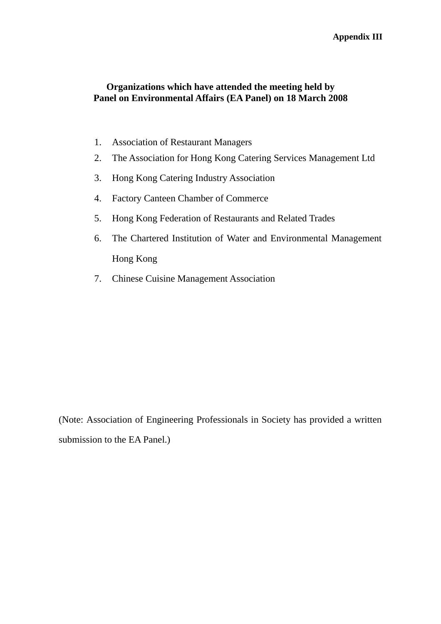#### **Appendix III**

## **Organizations which have attended the meeting held by Panel on Environmental Affairs (EA Panel) on 18 March 2008**

- 1. Association of Restaurant Managers
- 2. The Association for Hong Kong Catering Services Management Ltd
- 3. Hong Kong Catering Industry Association
- 4. Factory Canteen Chamber of Commerce
- 5. Hong Kong Federation of Restaurants and Related Trades
- 6. The Chartered Institution of Water and Environmental Management Hong Kong
- 7. Chinese Cuisine Management Association

(Note: Association of Engineering Professionals in Society has provided a written submission to the EA Panel.)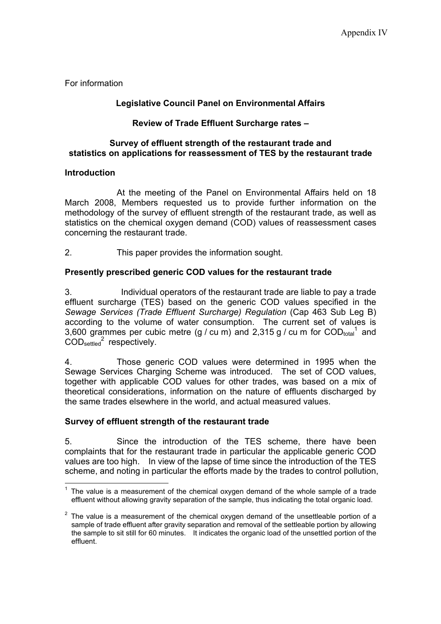For information

#### **Legislative Council Panel on Environmental Affairs**

### **Review of Trade Effluent Surcharge rates –**

#### **Survey of effluent strength of the restaurant trade and statistics on applications for reassessment of TES by the restaurant trade**

#### **Introduction**

 At the meeting of the Panel on Environmental Affairs held on 18 March 2008, Members requested us to provide further information on the methodology of the survey of effluent strength of the restaurant trade, as well as statistics on the chemical oxygen demand (COD) values of reassessment cases concerning the restaurant trade.

2. This paper provides the information sought.

## **Presently prescribed generic COD values for the restaurant trade**

3. Individual operators of the restaurant trade are liable to pay a trade effluent surcharge (TES) based on the generic COD values specified in the *Sewage Services (Trade Effluent Surcharge) Regulation* (Cap 463 Sub Leg B) according to the volume of water consumption. The current set of values is 3,600 grammes per cubic metre (g / cu m) and 2,315 g / cu m for  $\text{COD}_{\text{total}}^1$  and  $\mathrm{COD}_{\mathrm{settled}}^2$  respectively.

4. Those generic COD values were determined in 1995 when the Sewage Services Charging Scheme was introduced. The set of COD values, together with applicable COD values for other trades, was based on a mix of theoretical considerations, information on the nature of effluents discharged by the same trades elsewhere in the world, and actual measured values.

#### **Survey of effluent strength of the restaurant trade**

5. Since the introduction of the TES scheme, there have been complaints that for the restaurant trade in particular the applicable generic COD values are too high. In view of the lapse of time since the introduction of the TES scheme, and noting in particular the efforts made by the trades to control pollution,

l  $1$  The value is a measurement of the chemical oxygen demand of the whole sample of a trade effluent without allowing gravity separation of the sample, thus indicating the total organic load.

 $2$  The value is a measurement of the chemical oxygen demand of the unsettleable portion of a sample of trade effluent after gravity separation and removal of the settleable portion by allowing the sample to sit still for 60 minutes. It indicates the organic load of the unsettled portion of the effluent.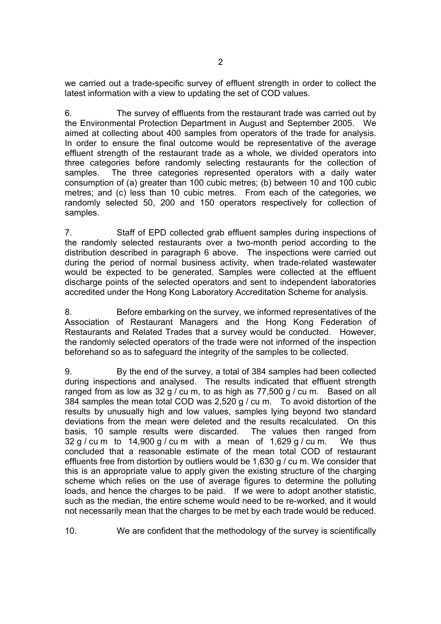we carried out a trade-specific survey of effluent strength in order to collect the latest information with a view to updating the set of COD values.

6. The survey of effluents from the restaurant trade was carried out by the Environmental Protection Department in August and September 2005. We aimed at collecting about 400 samples from operators of the trade for analysis. In order to ensure the final outcome would be representative of the average effluent strength of the restaurant trade as a whole, we divided operators into three categories before randomly selecting restaurants for the collection of samples. The three categories represented operators with a daily water consumption of (a) greater than 100 cubic metres; (b) between 10 and 100 cubic metres; and (c) less than 10 cubic metres. From each of the categories, we randomly selected 50, 200 and 150 operators respectively for collection of samples.

7. Staff of EPD collected grab effluent samples during inspections of the randomly selected restaurants over a two-month period according to the distribution described in paragraph 6 above. The inspections were carried out during the period of normal business activity, when trade-related wastewater would be expected to be generated. Samples were collected at the effluent discharge points of the selected operators and sent to independent laboratories accredited under the Hong Kong Laboratory Accreditation Scheme for analysis.

8. Before embarking on the survey, we informed representatives of the Association of Restaurant Managers and the Hong Kong Federation of Restaurants and Related Trades that a survey would be conducted. However, the randomly selected operators of the trade were not informed of the inspection beforehand so as to safeguard the integrity of the samples to be collected.

9. By the end of the survey, a total of 384 samples had been collected during inspections and analysed. The results indicated that effluent strength ranged from as low as 32 g / cu m, to as high as 77,500 g / cu m. Based on all 384 samples the mean total COD was 2,520 g / cu m. To avoid distortion of the results by unusually high and low values, samples lying beyond two standard deviations from the mean were deleted and the results recalculated. On this basis, 10 sample results were discarded. The values then ranged from  $32 g / cu$  m to  $14,900 g / cu$  m with a mean of  $1,629 g / cu$  m. We thus concluded that a reasonable estimate of the mean total COD of restaurant effluents free from distortion by outliers would be 1,630 g / cu m. We consider that this is an appropriate value to apply given the existing structure of the charging scheme which relies on the use of average figures to determine the polluting loads, and hence the charges to be paid. If we were to adopt another statistic, such as the median, the entire scheme would need to be re-worked, and it would not necessarily mean that the charges to be met by each trade would be reduced.

10. We are confident that the methodology of the survey is scientifically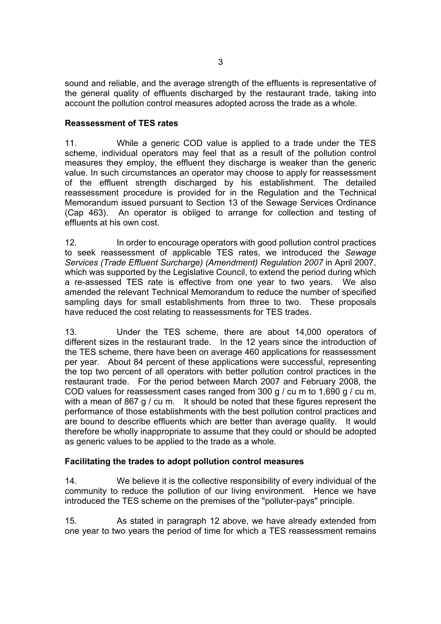sound and reliable, and the average strength of the effluents is representative of the general quality of effluents discharged by the restaurant trade, taking into account the pollution control measures adopted across the trade as a whole.

#### **Reassessment of TES rates**

11. While a generic COD value is applied to a trade under the TES scheme, individual operators may feel that as a result of the pollution control measures they employ, the effluent they discharge is weaker than the generic value. In such circumstances an operator may choose to apply for reassessment of the effluent strength discharged by his establishment. The detailed reassessment procedure is provided for in the Regulation and the Technical Memorandum issued pursuant to Section 13 of the Sewage Services Ordinance (Cap 463). An operator is obliged to arrange for collection and testing of effluents at his own cost.

12. In order to encourage operators with good pollution control practices to seek reassessment of applicable TES rates, we introduced the *Sewage Services (Trade Effluent Surcharge) (Amendment) Regulation 2007* in April 2007, which was supported by the Legislative Council, to extend the period during which a re-assessed TES rate is effective from one year to two years. We also amended the relevant Technical Memorandum to reduce the number of specified sampling days for small establishments from three to two. These proposals have reduced the cost relating to reassessments for TES trades.

13. Under the TES scheme, there are about 14,000 operators of different sizes in the restaurant trade. In the 12 years since the introduction of the TES scheme, there have been on average 460 applications for reassessment per year. About 84 percent of these applications were successful, representing the top two percent of all operators with better pollution control practices in the restaurant trade. For the period between March 2007 and February 2008, the COD values for reassessment cases ranged from 300 g / cu m to 1,690 g / cu m, with a mean of 867 g / cu m. It should be noted that these figures represent the performance of those establishments with the best pollution control practices and are bound to describe effluents which are better than average quality. It would therefore be wholly inappropriate to assume that they could or should be adopted as generic values to be applied to the trade as a whole.

#### **Facilitating the trades to adopt pollution control measures**

14. We believe it is the collective responsibility of every individual of the community to reduce the pollution of our living environment. Hence we have introduced the TES scheme on the premises of the "polluter-pays" principle.

15. As stated in paragraph 12 above, we have already extended from one year to two years the period of time for which a TES reassessment remains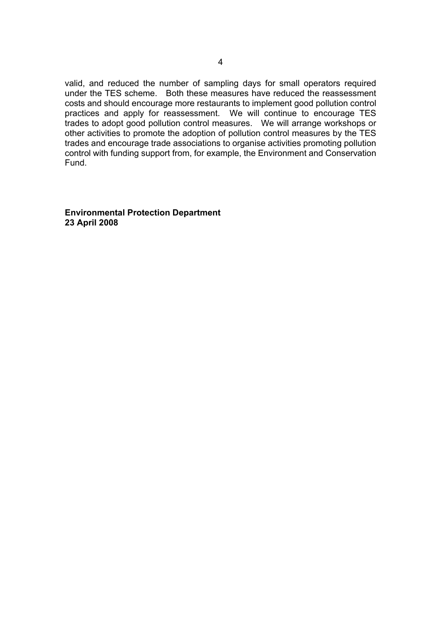valid, and reduced the number of sampling days for small operators required under the TES scheme. Both these measures have reduced the reassessment costs and should encourage more restaurants to implement good pollution control practices and apply for reassessment. We will continue to encourage TES trades to adopt good pollution control measures. We will arrange workshops or other activities to promote the adoption of pollution control measures by the TES trades and encourage trade associations to organise activities promoting pollution control with funding support from, for example, the Environment and Conservation Fund.

**Environmental Protection Department 23 April 2008**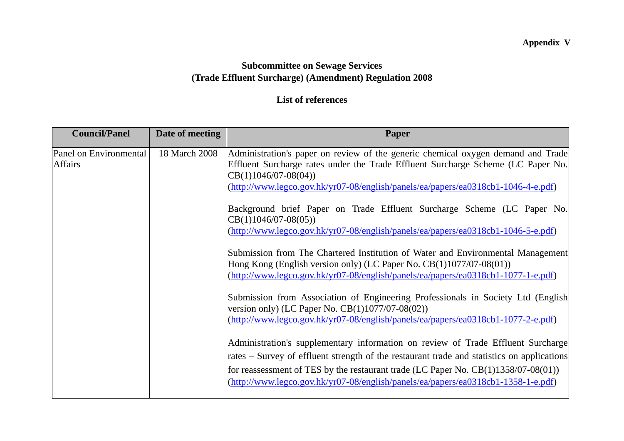# **Appendix V**

# **Subcommittee on Sewage Services (Trade Effluent Surcharge) (Amendment) Regulation 2008**

# **List of references**

| <b>Council/Panel</b>                     | Date of meeting | Paper                                                                                                                                                                                                                                                                                                                                                                                                                                                                                                                                                                                                                                                                                                                                                       |
|------------------------------------------|-----------------|-------------------------------------------------------------------------------------------------------------------------------------------------------------------------------------------------------------------------------------------------------------------------------------------------------------------------------------------------------------------------------------------------------------------------------------------------------------------------------------------------------------------------------------------------------------------------------------------------------------------------------------------------------------------------------------------------------------------------------------------------------------|
| Panel on Environmental<br><b>Affairs</b> | 18 March 2008   | Administration's paper on review of the generic chemical oxygen demand and Trade<br>Effluent Surcharge rates under the Trade Effluent Surcharge Scheme (LC Paper No.<br>$CB(1)1046/07-08(04))$<br>(http://www.legco.gov.hk/yr07-08/english/panels/ea/papers/ea0318cb1-1046-4-e.pdf)<br>Background brief Paper on Trade Effluent Surcharge Scheme (LC Paper No.<br>$CB(1)1046/07-08(05))$<br>(http://www.legco.gov.hk/yr07-08/english/panels/ea/papers/ea0318cb1-1046-5-e.pdf)<br>Submission from The Chartered Institution of Water and Environmental Management                                                                                                                                                                                            |
|                                          |                 | Hong Kong (English version only) (LC Paper No. $CB(1)1077/07-08(01)$ )<br>(http://www.legco.gov.hk/yr07-08/english/panels/ea/papers/ea0318cb1-1077-1-e.pdf)<br>Submission from Association of Engineering Professionals in Society Ltd (English<br>version only) (LC Paper No. $CB(1)1077/07-08(02)$ )<br>(http://www.legco.gov.hk/yr07-08/english/panels/ea/papers/ea0318cb1-1077-2-e.pdf)<br>Administration's supplementary information on review of Trade Effluent Surcharge<br>rates – Survey of effluent strength of the restaurant trade and statistics on applications<br>for reassessment of TES by the restaurant trade (LC Paper No. $CB(1)1358/07-08(01)$ )<br>(http://www.legco.gov.hk/yr07-08/english/panels/ea/papers/ea0318cb1-1358-1-e.pdf) |